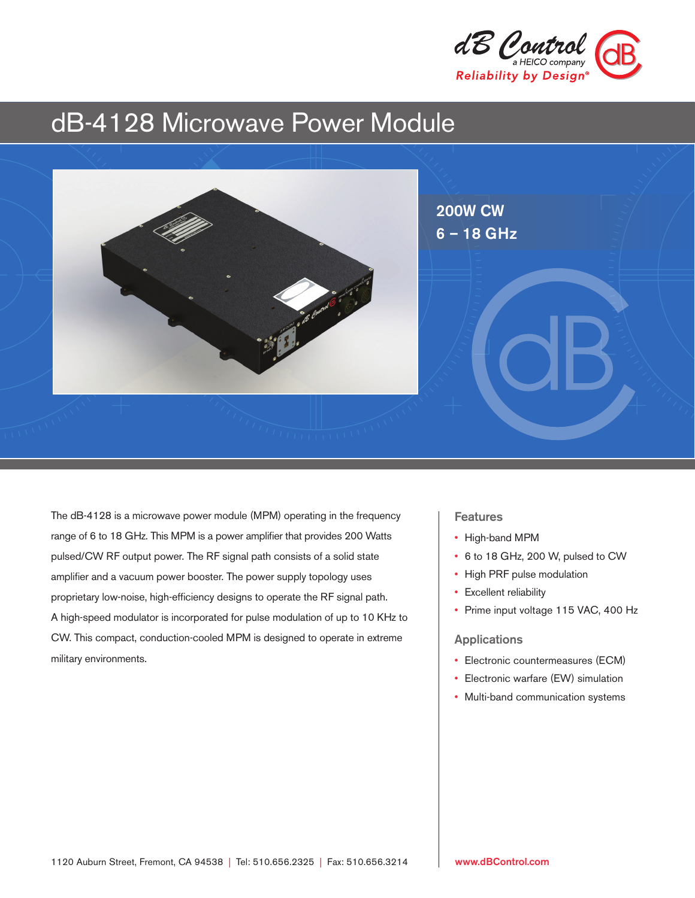

# dB-4128 Microwave Power Module



The dB-4128 is a microwave power module (MPM) operating in the frequency range of 6 to 18 GHz. This MPM is a power amplifier that provides 200 Watts pulsed/CW RF output power. The RF signal path consists of a solid state amplifier and a vacuum power booster. The power supply topology uses proprietary low-noise, high-efficiency designs to operate the RF signal path. A high-speed modulator is incorporated for pulse modulation of up to 10 KHz to CW. This compact, conduction-cooled MPM is designed to operate in extreme military environments.

### **Features**

- High-band MPM
- 6 to 18 GHz, 200 W, pulsed to CW
- High PRF pulse modulation
- Excellent reliability
- Prime input voltage 115 VAC, 400 Hz

#### Applications

- Electronic countermeasures (ECM)
- Electronic warfare (EW) simulation
- Multi-band communication systems